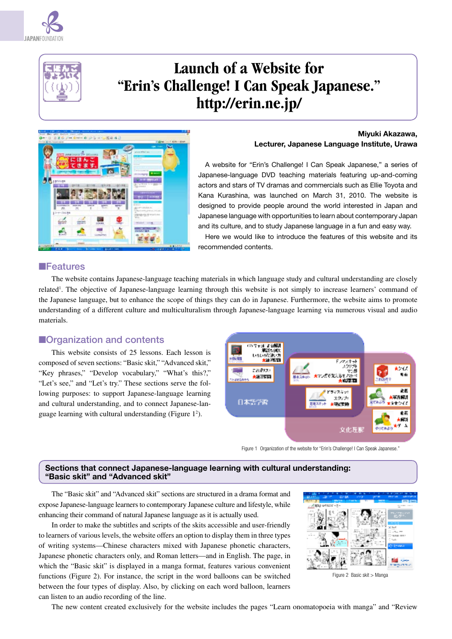



# **Launch of a Website for "Erin's Challenge! I Can Speak Japanese." http://erin.ne.jp/**



#### **Miyuki Akazawa, Lecturer, Japanese Language Institute, Urawa**

A website for "Erin's Challenge! I Can Speak Japanese," a series of Japanese-language DVD teaching materials featuring up-and-coming actors and stars of TV dramas and commercials such as Ellie Toyota and Kana Kurashina, was launched on March 31, 2010. The website is designed to provide people around the world interested in Japan and Japanese language with opportunities to learn about contemporary Japan and its culture, and to study Japanese language in a fun and easy way.

Here we would like to introduce the features of this website and its recommended contents.

#### ■Features

The website contains Japanese-language teaching materials in which language study and cultural understanding are closely related<sup>1</sup>. The objective of Japanese-language learning through this website is not simply to increase learners' command of the Japanese language, but to enhance the scope of things they can do in Japanese. Furthermore, the website aims to promote understanding of a different culture and multiculturalism through Japanese-language learning via numerous visual and audio materials.

### ■Organization and contents

This website consists of 25 lessons. Each lesson is composed of seven sections: "Basic skit," "Advanced skit," "Key phrases," "Develop vocabulary," "What's this?," "Let's see," and "Let's try." These sections serve the following purposes: to support Japanese-language learning and cultural understanding, and to connect Japanese-language learning with cultural understanding (Figure 1<sup>2</sup>).



Figure 1 Organization of the website for "Erin's Challenge! I Can Speak Japanese."

#### **Sections that connect Japanese-language learning with cultural understanding: "Basic skit" and "Advanced skit"**

The "Basic skit" and "Advanced skit" sections are structured in a drama format and expose Japanese-language learners to contemporary Japanese culture and lifestyle, while enhancing their command of natural Japanese language as it is actually used.

In order to make the subtitles and scripts of the skits accessible and user-friendly to learners of various levels, the website offers an option to display them in three types of writing systems—Chinese characters mixed with Japanese phonetic characters, Japanese phonetic characters only, and Roman letters—and in English. The page, in which the "Basic skit" is displayed in a manga format, features various convenient functions (Figure 2). For instance, the script in the word balloons can be switched between the four types of display. Also, by clicking on each word balloon, learners can listen to an audio recording of the line.



Figure 2 Basic skit > Manga

The new content created exclusively for the website includes the pages "Learn onomatopoeia with manga" and "Review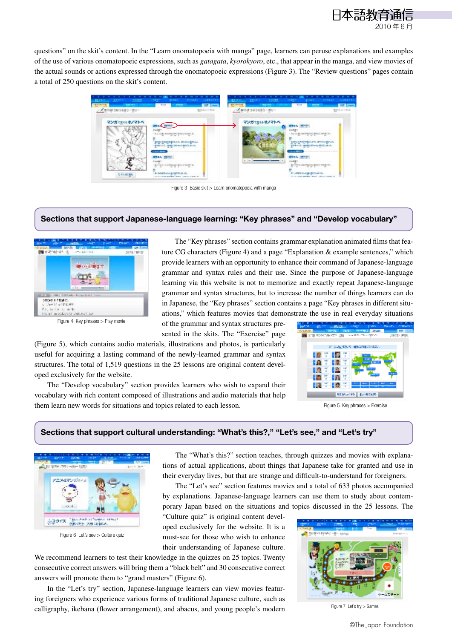

questions" on the skit's content. In the "Learn onomatopoeia with manga" page, learners can peruse explanations and examples of the use of various onomatopoeic expressions, such as *gatagata*, *kyorokyoro*, etc., that appear in the manga, and view movies of the actual sounds or actions expressed through the onomatopoeic expressions (Figure 3). The "Review questions" pages contain a total of 250 questions on the skit's content.



Figure 3 Basic skit > Learn onomatopoeia with manga

#### **Sections that support Japanese-language learning: "Key phrases" and "Develop vocabulary"**



Figure 4 Key phrases > Play movie

The "Key phrases" section contains grammar explanation animated films that feature CG characters (Figure 4) and a page "Explanation & example sentences," which provide learners with an opportunity to enhance their command of Japanese-language grammar and syntax rules and their use. Since the purpose of Japanese-language learning via this website is not to memorize and exactly repeat Japanese-language grammar and syntax structures, but to increase the number of things learners can do in Japanese, the "Key phrases" section contains a page "Key phrases in different situations," which features movies that demonstrate the use in real everyday situations of the grammar and syntax structures pre-

sented in the skits. The "Exercise" page

(Figure 5), which contains audio materials, illustrations and photos, is particularly useful for acquiring a lasting command of the newly-learned grammar and syntax structures. The total of 1,519 questions in the 25 lessons are original content developed exclusively for the website.

The "Develop vocabulary" section provides learners who wish to expand their vocabulary with rich content composed of illustrations and audio materials that help them learn new words for situations and topics related to each lesson.



Figure 5 Key phrases > Exercise

#### **Sections that support cultural understanding: "What's this?," "Let's see," and "Let's try"**



Figure 6 Let's see > Culture quiz

The "What's this?" section teaches, through quizzes and movies with explanations of actual applications, about things that Japanese take for granted and use in their everyday lives, but that are strange and difficult-to-understand for foreigners.

The "Let's see" section features movies and a total of 633 photos accompanied by explanations. Japanese-language learners can use them to study about contemporary Japan based on the situations and topics discussed in the 25 lessons. The

"Culture quiz" is original content developed exclusively for the website. It is a must-see for those who wish to enhance their understanding of Japanese culture.

We recommend learners to test their knowledge in the quizzes on 25 topics. Twenty consecutive correct answers will bring them a "black belt" and 30 consecutive correct answers will promote them to "grand masters" (Figure 6).

In the "Let's try" section, Japanese-language learners can view movies featuring foreigners who experience various forms of traditional Japanese culture, such as calligraphy, ikebana (flower arrangement), and abacus, and young people's modern



Figure 7 Let's try > Games